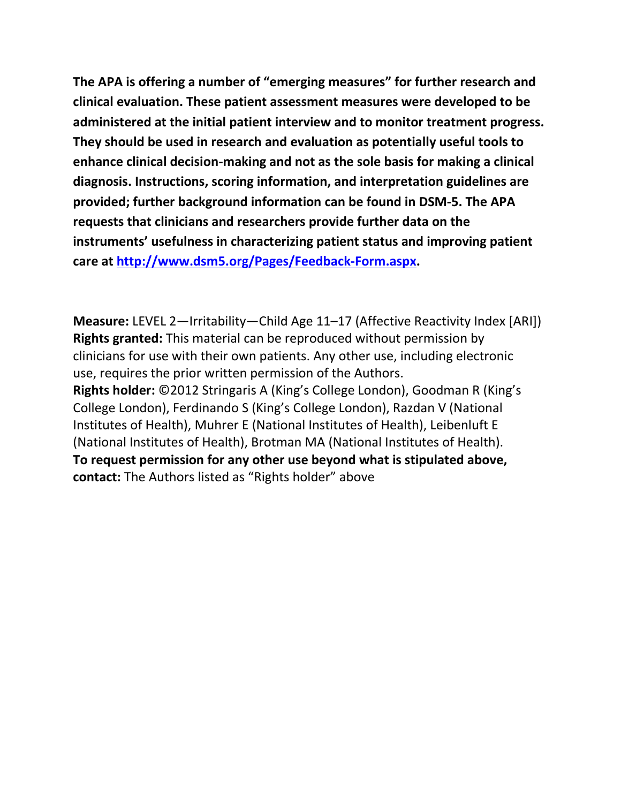**The APA is offering a number of "emerging measures" for further research and clinical evaluation. These patient assessment measures were developed to be administered at the initial patient interview and to monitor treatment progress. They should be used in research and evaluation as potentially useful tools to enhance clinical decision-making and not as the sole basis for making a clinical diagnosis. Instructions, scoring information, and interpretation guidelines are provided; further background information can be found in DSM-5. The APA requests that clinicians and researchers provide further data on the instruments' usefulness in characterizing patient status and improving patient care at [http://www.dsm5.org/Pages/Feedback-Form.aspx.](http://www.dsm5.org/Pages/Feedback-Form.aspx)**

**Measure:** LEVEL 2—Irritability—Child Age 11–17 (Affective Reactivity Index [ARI]) **Rights granted:** This material can be reproduced without permission by clinicians for use with their own patients. Any other use, including electronic use, requires the prior written permission of the Authors. **Rights holder:** ©2012 Stringaris A (King's College London), Goodman R (King's College London), Ferdinando S (King's College London), Razdan V (National Institutes of Health), Muhrer E (National Institutes of Health), Leibenluft E (National Institutes of Health), Brotman MA (National Institutes of Health). **To request permission for any other use beyond what is stipulated above, contact:** The Authors listed as "Rights holder" above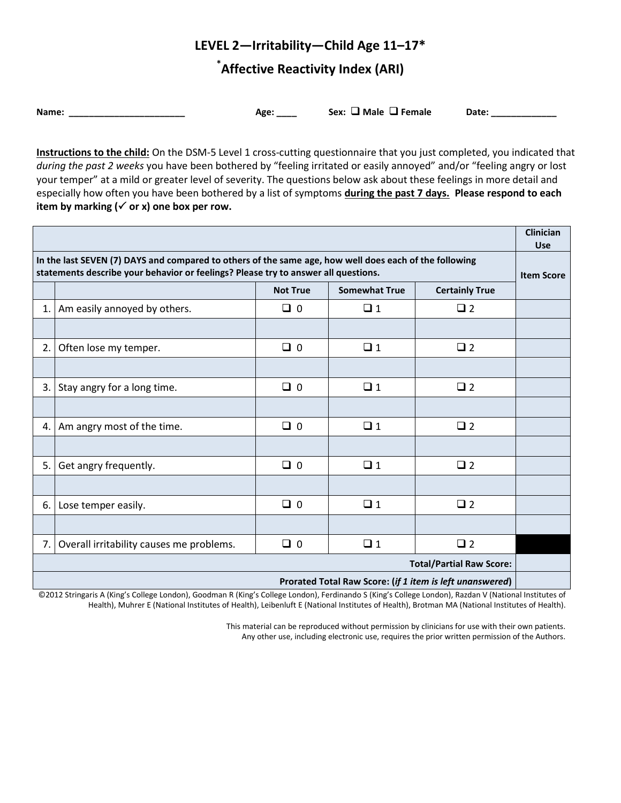# **LEVEL 2—Irritability—Child Age 11–17\***

## **\* Affective Reactivity Index (ARI)**

Name: \_\_\_\_\_\_\_\_\_\_\_\_\_\_\_\_\_\_\_\_\_\_\_\_\_\_\_\_\_ Age: \_\_\_\_ Sex: □ Male □ Female Date: \_\_\_\_\_\_\_\_\_\_\_\_

**Instructions to the child:** On the DSM-5 Level 1 cross-cutting questionnaire that you just completed, you indicated that *during the past 2 weeks* you have been bothered by "feeling irritated or easily annoyed" and/or "feeling angry or lost your temper" at a mild or greater level of severity. The questions below ask about these feelings in more detail and especially how often you have been bothered by a list of symptoms **during the past 7 days. Please respond to each**  item by marking  $(\checkmark)$  or x) one box per row.

|                                                                                                                                                                                              |                                          |                 |                      |                       | <b>Clinician</b><br><b>Use</b> |
|----------------------------------------------------------------------------------------------------------------------------------------------------------------------------------------------|------------------------------------------|-----------------|----------------------|-----------------------|--------------------------------|
| In the last SEVEN (7) DAYS and compared to others of the same age, how well does each of the following<br>statements describe your behavior or feelings? Please try to answer all questions. |                                          |                 |                      |                       | <b>Item Score</b>              |
|                                                                                                                                                                                              |                                          | <b>Not True</b> | <b>Somewhat True</b> | <b>Certainly True</b> |                                |
| 1.                                                                                                                                                                                           | Am easily annoyed by others.             | $\Box$ 0        | $\Box$ 1             | $\square$ 2           |                                |
|                                                                                                                                                                                              |                                          |                 |                      |                       |                                |
| 2.                                                                                                                                                                                           | Often lose my temper.                    | $\Box$ 0        | $\Box$ 1             | $\square$ 2           |                                |
|                                                                                                                                                                                              |                                          |                 |                      |                       |                                |
| 3.                                                                                                                                                                                           | Stay angry for a long time.              | $\Box$ 0        | $\Box$ 1             | $\square$ 2           |                                |
|                                                                                                                                                                                              |                                          |                 |                      |                       |                                |
| 4.                                                                                                                                                                                           | Am angry most of the time.               | $\Box$ 0        | $\Box$ 1             | $\square$ 2           |                                |
|                                                                                                                                                                                              |                                          |                 |                      |                       |                                |
| 5.                                                                                                                                                                                           | Get angry frequently.                    | $\Box$ 0        | $\Box$ 1             | $\Box$ 2              |                                |
|                                                                                                                                                                                              |                                          |                 |                      |                       |                                |
| 6.                                                                                                                                                                                           | Lose temper easily.                      | $\Box$ 0        | $\Box$ 1             | $\square$ 2           |                                |
|                                                                                                                                                                                              |                                          |                 |                      |                       |                                |
| 7.                                                                                                                                                                                           | Overall irritability causes me problems. | $\Box$ 0        | $\Box$ 1             | $\square$ 2           |                                |
| <b>Total/Partial Raw Score:</b>                                                                                                                                                              |                                          |                 |                      |                       |                                |
| Prorated Total Raw Score: (if 1 item is left unanswered)                                                                                                                                     |                                          |                 |                      |                       |                                |

©2012 Stringaris A (King's College London), Goodman R (King's College London), Ferdinando S (King's College London), Razdan V (National Institutes of Health), Muhrer E (National Institutes of Health), Leibenluft E (National Institutes of Health), Brotman MA (National Institutes of Health).

> This material can be reproduced without permission by clinicians for use with their own patients. Any other use, including electronic use, requires the prior written permission of the Authors.